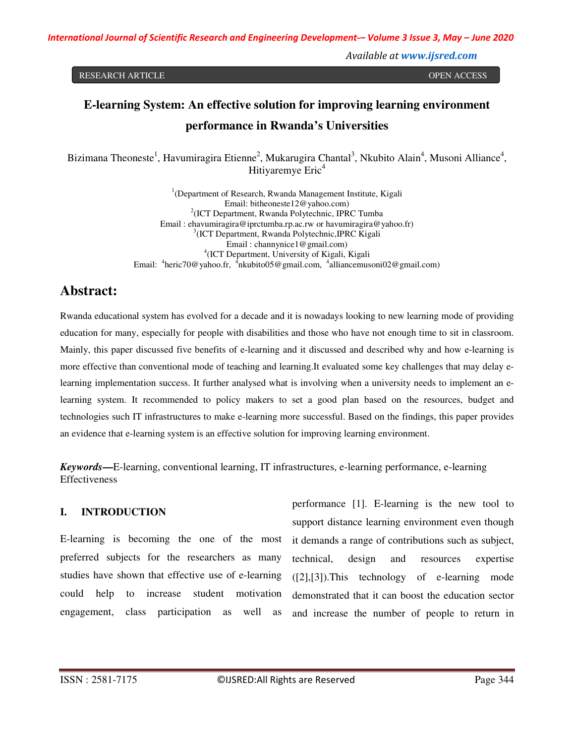*International Journal of Scientific Research and Engineering Development-– Volume 3 Issue 3, May – June 2020*

*Available at www.ijsred.com*

RESEARCH ARTICLE **CONSERVERS IN A SECRET ARTICLE** OPEN ACCESS OPEN ACCESS OPEN ACCESS OPEN ACCESS OPEN ACCESS OPEN ACCESS OF A SAMPLE OF A SAMPLE OF A SAMPLE OF A SAMPLE OF A SAMPLE OF A SAMPLE OF A SAMPLE OF A SAMPLE OF A

# **E-learning System: An effective solution for improving learning environment performance in Rwanda's Universities**

Bizimana Theoneste<sup>1</sup>, Havumiragira Etienne<sup>2</sup>, Mukarugira Chantal<sup>3</sup>, Nkubito Alain<sup>4</sup>, Musoni Alliance<sup>4</sup>, Hitiyaremye Eric<sup>4</sup>

> <sup>1</sup>(Department of Research, Rwanda Management Institute, Kigali Email: bitheoneste12@yahoo.com) 2 (ICT Department, Rwanda Polytechnic, IPRC Tumba Email : ehavumiragira@iprctumba.rp.ac.rw or havumiragira@yahoo.fr) 3 (ICT Department, Rwanda Polytechnic,IPRC Kigali Email : channynice1@gmail.com) 4 (ICT Department, University of Kigali, Kigali Email: <sup>4</sup>heric70@yahoo.fr, <sup>4</sup>nkubito05@gmail.com, <sup>4</sup>alliancemusoni02@gmail.com)

# **Abstract:**

Rwanda educational system has evolved for a decade and it is nowadays looking to new learning mode of providing education for many, especially for people with disabilities and those who have not enough time to sit in classroom. Mainly, this paper discussed five benefits of e-learning and it discussed and described why and how e-learning is more effective than conventional mode of teaching and learning.It evaluated some key challenges that may delay elearning implementation success. It further analysed what is involving when a university needs to implement an elearning system. It recommended to policy makers to set a good plan based on the resources, budget and technologies such IT infrastructures to make e-learning more successful. Based on the findings, this paper provides an evidence that e-learning system is an effective solution for improving learning environment.

*Keywords***—**E-learning, conventional learning, IT infrastructures, e-learning performance, e-learning **Effectiveness** 

### **I. INTRODUCTION**

E-learning is becoming the one of the most preferred subjects for the researchers as many studies have shown that effective use of e-learning could help to increase student motivation engagement, class participation as well as

performance [1]. E-learning is the new tool to support distance learning environment even though it demands a range of contributions such as subject, technical, design and resources expertise ([2],[3]).This technology of e-learning mode demonstrated that it can boost the education sector and increase the number of people to return in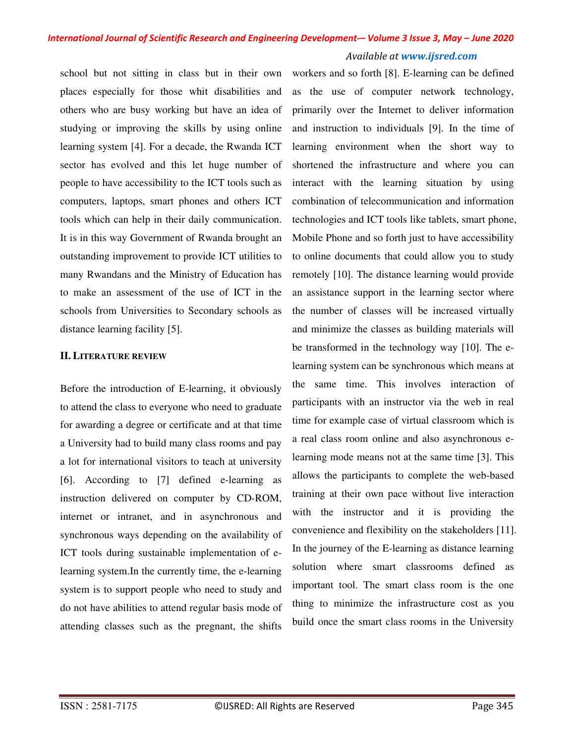school but not sitting in class but in their own places especially for those whit disabilities and others who are busy working but have an idea of studying or improving the skills by using online learning system [4]. For a decade, the Rwanda ICT sector has evolved and this let huge number of people to have accessibility to the ICT tools such as computers, laptops, smart phones and others ICT tools which can help in their daily communication. It is in this way Government of Rwanda brought an outstanding improvement to provide ICT utilities to many Rwandans and the Ministry of Education has to make an assessment of the use of ICT in the schools from Universities to Secondary schools as distance learning facility [5].

#### **II. LITERATURE REVIEW**

Before the introduction of E-learning, it obviously to attend the class to everyone who need to graduate for awarding a degree or certificate and at that time a University had to build many class rooms and pay a lot for international visitors to teach at university [6]. According to [7] defined e-learning as instruction delivered on computer by CD-ROM, internet or intranet, and in asynchronous and synchronous ways depending on the availability of ICT tools during sustainable implementation of elearning system.In the currently time, the e-learning system is to support people who need to study and do not have abilities to attend regular basis mode of attending classes such as the pregnant, the shifts

workers and so forth [8]. E-learning can be defined as the use of computer network technology, primarily over the Internet to deliver information and instruction to individuals [9]. In the time of learning environment when the short way to shortened the infrastructure and where you can interact with the learning situation by using combination of telecommunication and information technologies and ICT tools like tablets, smart phone, Mobile Phone and so forth just to have accessibility to online documents that could allow you to study remotely [10]. The distance learning would provide an assistance support in the learning sector where the number of classes will be increased virtually and minimize the classes as building materials will be transformed in the technology way [10]. The elearning system can be synchronous which means at the same time. This involves interaction of participants with an instructor via the web in real time for example case of virtual classroom which is a real class room online and also asynchronous elearning mode means not at the same time [3]. This allows the participants to complete the web-based training at their own pace without live interaction with the instructor and it is providing the convenience and flexibility on the stakeholders [11]. In the journey of the E-learning as distance learning solution where smart classrooms defined as important tool. The smart class room is the one thing to minimize the infrastructure cost as you build once the smart class rooms in the University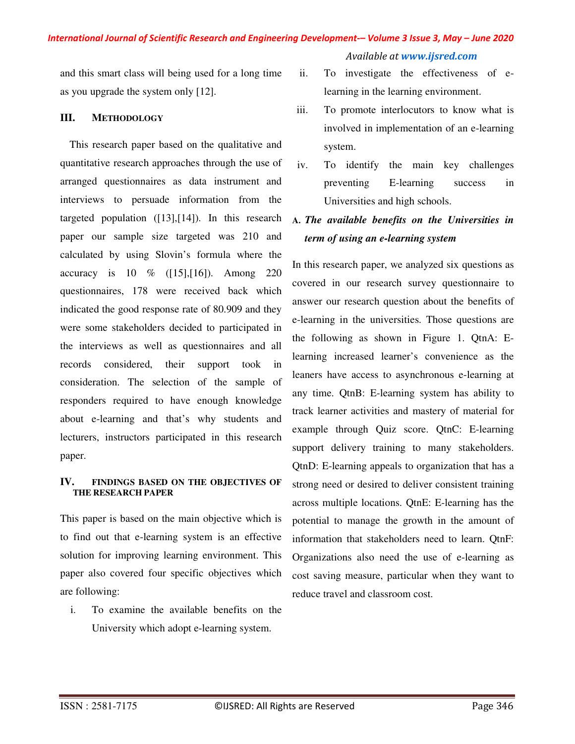*Available at www.ijsred.com*

and this smart class will being used for a long time as you upgrade the system only [12].

#### **III. METHODOLOGY**

This research paper based on the qualitative and quantitative research approaches through the use of arranged questionnaires as data instrument and interviews to persuade information from the targeted population  $(13)$ ,  $[14]$ ). In this research paper our sample size targeted was 210 and calculated by using Slovin's formula where the accuracy is 10 % ([15],[16]). Among 220 questionnaires, 178 were received back which indicated the good response rate of 80.909 and they were some stakeholders decided to participated in the interviews as well as questionnaires and all records considered, their support took in consideration. The selection of the sample of responders required to have enough knowledge about e-learning and that's why students and lecturers, instructors participated in this research paper.

#### **IV. FINDINGS BASED ON THE OBJECTIVES OF THE RESEARCH PAPER**

This paper is based on the main objective which is to find out that e-learning system is an effective solution for improving learning environment. This paper also covered four specific objectives which are following:

i. To examine the available benefits on the University which adopt e-learning system.

- ii. To investigate the effectiveness of elearning in the learning environment.
- iii. To promote interlocutors to know what is involved in implementation of an e-learning system.
- iv. To identify the main key challenges preventing E-learning success in Universities and high schools.

## **A.** *The available benefits on the Universities in term of using an e-learning system*

In this research paper, we analyzed six questions as covered in our research survey questionnaire to answer our research question about the benefits of e-learning in the universities. Those questions are the following as shown in Figure 1. QtnA: Elearning increased learner's convenience as the leaners have access to asynchronous e-learning at any time. QtnB: E-learning system has ability to track learner activities and mastery of material for example through Quiz score. QtnC: E-learning support delivery training to many stakeholders. QtnD: E-learning appeals to organization that has a strong need or desired to deliver consistent training across multiple locations. QtnE: E-learning has the potential to manage the growth in the amount of information that stakeholders need to learn. QtnF: Organizations also need the use of e-learning as cost saving measure, particular when they want to reduce travel and classroom cost.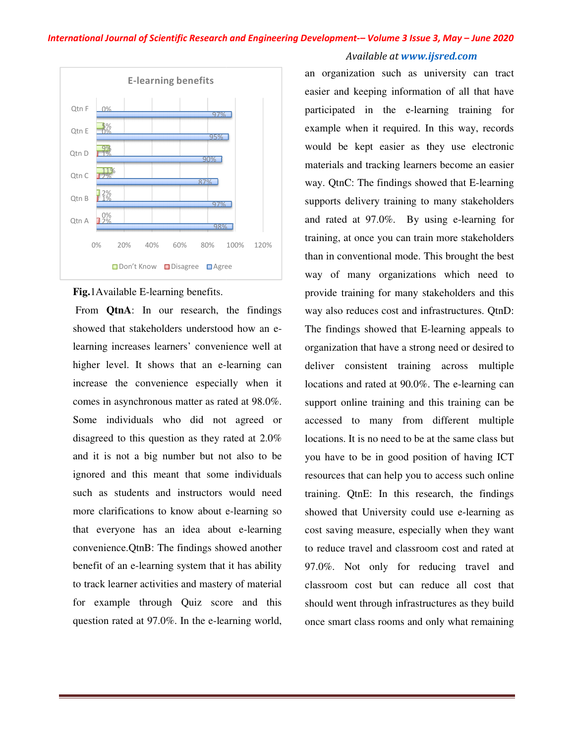#### *International Journal of Scientific Research and Engineering Development of Development-– Volume 3 Issue 3 3, May – June 2020*



#### **Fig.**1Available E-learning benefits.

 From **QtnA**: In our research, the findings showed that stakeholders understood how an e learning increases learners' convenience well at learning increases learners' convenience well at<br>higher level. It shows that an e-learning can increase the convenience especially when it comes in asynchronous matter as rated at 98.0%. Some individuals who did not agreed or disagreed to this question as they rated at 2.0% Some individuals who did not agreed or disagreed to this question as they rated at 2.0% and it is not a big number but not also to be ignored and this meant that some individuals such as students and instructors would need ignored and this meant that some individuals<br>such as students and instructors would need<br>more clarifications to know about e-learning so that everyone has an idea about e-learning convenience.QtnB: The findings showed another benefit of an e-learning system that it has ability to track learner activities and mastery of material for example through Quiz score and this question rated at 97.0%. In the e-learning world, e-<br>
at an it on the case of the case of the case of the case of the case of the case of the case of the case of the case of the case of the case of the case of the case of the case of the case of the case of the case of th

# E-learning benefits<br>
anotographic strength can be a stem to provide the stem track learning to example when it required. In this way, records<br>
and the celestrating for<br>  $\frac{2\pi k}{\sqrt{2k}}$  and  $\frac{2\pi k}{\sqrt{2k}}$  and  $\frac{2\pi k}{\$ an organization such as university can tract<br>easier and keeping information of all that have participated in the e-learning training for example when it required. In this way, records would be kept easier as they use electronic materials and tracking learners become an easier way. QtnC: The findings showed that E-learning supports delivery training to many stakeholders supports delivery training to many stakeholders<br>and rated at 97.0%. By using e-learning for training, at once you can train more stakeholders than in conventional mode. This brought the best way of many organizations which need to training, at once you can train more stakeholders<br>than in conventional mode. This brought the best<br>way of many organizations which need to<br>provide training for many stakeholders and this way also reduces cost and infrastructures. QtnD: way also reduces cost and infrastructures. QtnD:<br>The findings showed that E-learning appeals to organization that have a strong need or desired to deliver consistent training across multiple<br>locations and rated at 90.0%. The e-learning can locations and rated at 90.0%. The e-learning can support online training and this training can be accessed to many from different multiple locations. It is no need to be at the same class but you have to be in good position of having ICT resources that can help you to access such online training. QtnE: In this resear showed that University could use e e-learning as cost saving measure, especially when they want to reduce travel and classroom cost and rated at 97.0%. Not only for reducing travel and classroom cost but can reduce all cost that should went through infrastructures as they build once smart class rooms and only what remaining learning training for<br>d. In this way, records<br>us they use electronic<br>urners become an easier<br>showed that E-learning support online training and this training can be<br>accessed to many from different multiple<br>locations. It is no need to be at the same class but<br>you have to be in good position of having ICT<br>resources that can help you to ac to reduce travel and classroom cost<br>97.0%. Not only for reducing<br>classroom cost but can reduce a<br>should went through infrastructures<br>once smart class rooms and only wh

*Available at www.ijsred.com*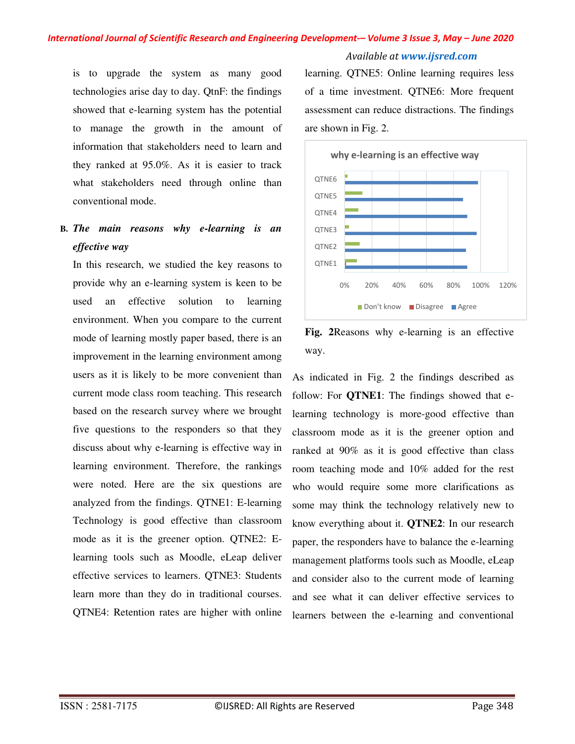## *International Journal of Scientific Research and Engineering Development-– Volume 3 Issue 3, May – June 2020*

*Available at www.ijsred.com*

is to upgrade the system as many good technologies arise day to day. QtnF: the findings showed that e-learning system has the potential to manage the growth in the amount of information that stakeholders need to learn and they ranked at 95.0%. As it is easier to track what stakeholders need through online than conventional mode.

## **B.** *The main reasons why e-learning is an effective way*

In this research, we studied the key reasons to provide why an e-learning system is keen to be used an effective solution to learning environment. When you compare to the current mode of learning mostly paper based, there is an improvement in the learning environment among users as it is likely to be more convenient than current mode class room teaching. This research based on the research survey where we brought five questions to the responders so that they discuss about why e-learning is effective way in learning environment. Therefore, the rankings were noted. Here are the six questions are analyzed from the findings. QTNE1: E-learning Technology is good effective than classroom mode as it is the greener option. QTNE2: Elearning tools such as Moodle, eLeap deliver effective services to learners. QTNE3: Students learn more than they do in traditional courses. QTNE4: Retention rates are higher with online

learning. QTNE5: Online learning requires less of a time investment. QTNE6: More frequent assessment can reduce distractions. The findings are shown in Fig. 2.



**Fig. 2**Reasons why e-learning is an effective way.

As indicated in Fig. 2 the findings described as follow: For **QTNE1**: The findings showed that elearning technology is more-good effective than classroom mode as it is the greener option and ranked at 90% as it is good effective than class room teaching mode and 10% added for the rest who would require some more clarifications as some may think the technology relatively new to know everything about it. **QTNE2**: In our research paper, the responders have to balance the e-learning management platforms tools such as Moodle, eLeap and consider also to the current mode of learning and see what it can deliver effective services to learners between the e-learning and conventional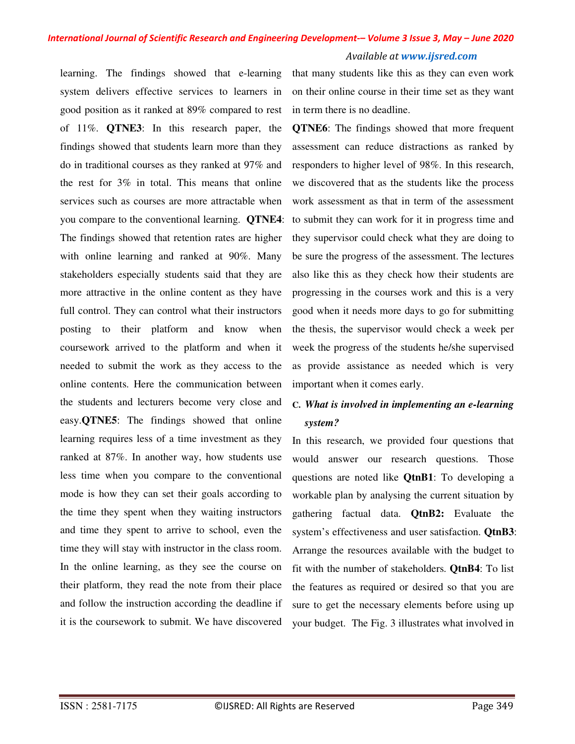### *International Journal of Scientific Research and Engineering Development-– Volume 3 Issue 3, May – June 2020 Available at www.ijsred.com*

learning. The findings showed that e-learning system delivers effective services to learners in good position as it ranked at 89% compared to rest of 11%. **QTNE3**: In this research paper, the findings showed that students learn more than they do in traditional courses as they ranked at 97% and the rest for 3% in total. This means that online services such as courses are more attractable when you compare to the conventional learning. **QTNE4**: The findings showed that retention rates are higher with online learning and ranked at 90%. Many stakeholders especially students said that they are more attractive in the online content as they have full control. They can control what their instructors posting to their platform and know when coursework arrived to the platform and when it needed to submit the work as they access to the online contents. Here the communication between the students and lecturers become very close and easy.**QTNE5**: The findings showed that online learning requires less of a time investment as they ranked at 87%. In another way, how students use less time when you compare to the conventional mode is how they can set their goals according to the time they spent when they waiting instructors and time they spent to arrive to school, even the time they will stay with instructor in the class room. In the online learning, as they see the course on their platform, they read the note from their place and follow the instruction according the deadline if it is the coursework to submit. We have discovered

that many students like this as they can even work on their online course in their time set as they want in term there is no deadline.

**QTNE6**: The findings showed that more frequent assessment can reduce distractions as ranked by responders to higher level of 98%. In this research, we discovered that as the students like the process work assessment as that in term of the assessment to submit they can work for it in progress time and they supervisor could check what they are doing to be sure the progress of the assessment. The lectures also like this as they check how their students are progressing in the courses work and this is a very good when it needs more days to go for submitting the thesis, the supervisor would check a week per week the progress of the students he/she supervised as provide assistance as needed which is very important when it comes early.

# **C.** *What is involved in implementing an e-learning system?*

In this research, we provided four questions that would answer our research questions. Those questions are noted like **QtnB1**: To developing a workable plan by analysing the current situation by gathering factual data. **QtnB2:** Evaluate the system's effectiveness and user satisfaction. **QtnB3**: Arrange the resources available with the budget to fit with the number of stakeholders. **QtnB4**: To list the features as required or desired so that you are sure to get the necessary elements before using up your budget. The Fig. 3 illustrates what involved in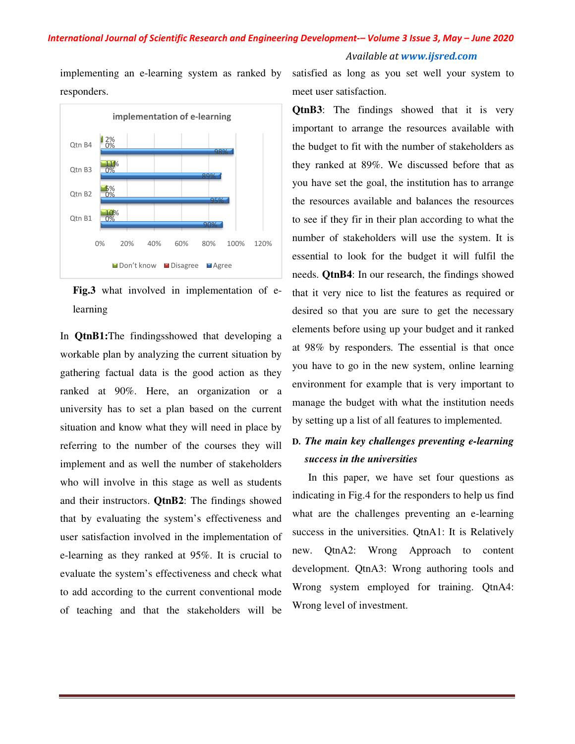# *International Journal of Scientific Research and Engineering Development of Development-– Volume 3 Issue 3*

*Available at www.ijsred.com*

implementing an e-learning system as ranked by responders.



**Fig.3** what involved in implementation of e learning

In **QtnB1:**The findingsshowed that developing a workable plan by analyzing the current situation by gathering factual data is the good action as they ranked at 90%. Here, an organization or a university has to set a plan based on the current situation and know what they will need in place by referring to the number of the courses they will implement and as well the number of stakeholders who will involve in this stage as well as students and their instructors. **QtnB2**: The findings showed that by evaluating the system's effectiveness and user satisfaction involved in the implementation of e-learning as they ranked at 95%. It is crucial to evaluate the system's effectiveness and check what to add according to the current conventional mode of teaching and that the stakeholders will be Examing system as ranked by some that in the metallic of e-learning and the dentroined on the dentroined and the discover of the discover of the discover of the discover of the discover of the discover of the current situ

meet user satisfaction.

mylennetting an e-learning system as ranked by satisfied as long as you set well your system to<br>
reprenentation of e-learning<br>
consideration of the material contraction of the moment contraction of the moment of such as<br> **QtnB3**: The findings showed that it is very important to arrange the resources available with the budget to fit with the number of stakeholders as they ranked at 89%. We discussed before that as you have set the goal, the institution has to arrang the resources available and balances the resources to see if they fir in their plan according to what the number of stakeholders will use the system. It is number of stakeholders will use the system. It is<br>essential to look for the budget it will fulfil the needs. **QtnB4**: In our research, the findings showed that it very nice to list the features as required or desired so that you are sure to get the necessary elements before using up your budget and it ranked at 98% by responders. The essential is that once you have to go in the new system, online learning environment for example that is very important to manage the budget with what the institution needs by setting up a list of all features to implemented. Figure 100% 120%<br>
Available at www.ijsred.com<br>
Available at www.ijsred.com<br>
as ranked by satisfied as long as you set well your system to<br>
meet user satisfaction.<br> **QtnB3**: The findings showed that it is very<br>
important to **B3:** The findings showed that it is very ortant to arrange the resources available with budget to fit with the number of stakeholders as  $\nu$  ranked at 89%. We discussed before that as have set the goal, the institution In Findings showed<br>
It it very nice to list the features as required or<br>
ired so that you are sure to get the necessary<br>
ments before using up your budget and it ranked<br>
98% by responders. The essential is that once<br>
1 ha

## **D.** The main key challenges preventing e-learning *success in the universities*

 In this paper, we have set four questions as indicating in Fig.4 for the responders to help us find<br>what are the challenges preventing an e-learning what are the challenges preventing an e-learning success in the universities. QtnA1: It is Relatively new. QtnA2: Wrong Approach to content development. QtnA3: Wrong authoring tools and Wrong system employed for training. QtnA4: Wrong level of investment. in the universities. QtnA1: It is<br>2tnA2: Wrong Approach to<br>nent. QtnA3: Wrong authoring<br>system employed for training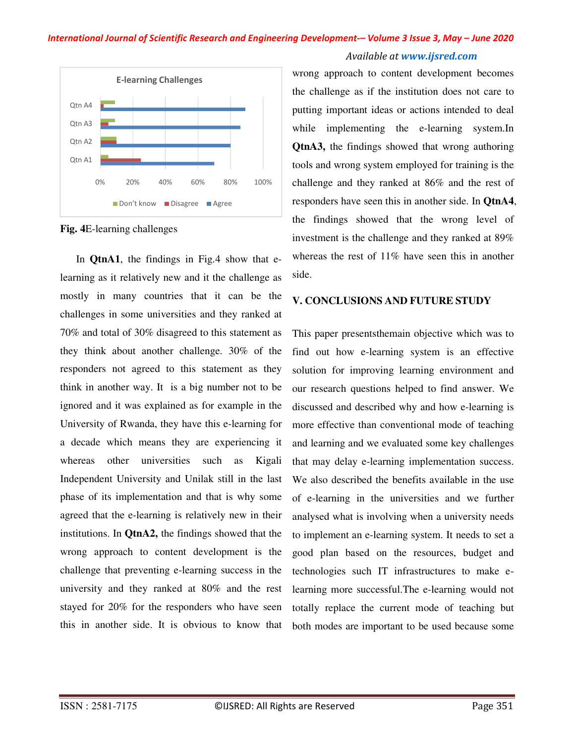### *International Journal of Scientific Research and Engineering Development-– Volume 3 Issue 3, May – June 2020 Available at www.ijsred.com*



**Fig. 4**E-learning challenges

 In **QtnA1**, the findings in Fig.4 show that elearning as it relatively new and it the challenge as mostly in many countries that it can be the challenges in some universities and they ranked at 70% and total of 30% disagreed to this statement as they think about another challenge. 30% of the responders not agreed to this statement as they think in another way. It is a big number not to be ignored and it was explained as for example in the University of Rwanda, they have this e-learning for a decade which means they are experiencing it whereas other universities such as Kigali Independent University and Unilak still in the last phase of its implementation and that is why some agreed that the e-learning is relatively new in their institutions. In **QtnA2,** the findings showed that the wrong approach to content development is the challenge that preventing e-learning success in the university and they ranked at 80% and the rest stayed for 20% for the responders who have seen this in another side. It is obvious to know that

wrong approach to content development becomes the challenge as if the institution does not care to putting important ideas or actions intended to deal while implementing the e-learning system.In **QtnA3,** the findings showed that wrong authoring tools and wrong system employed for training is the challenge and they ranked at 86% and the rest of responders have seen this in another side. In **QtnA4**, the findings showed that the wrong level of investment is the challenge and they ranked at 89% whereas the rest of 11% have seen this in another side.

### **V. CONCLUSIONS AND FUTURE STUDY**

This paper presentsthemain objective which was to find out how e-learning system is an effective solution for improving learning environment and our research questions helped to find answer. We discussed and described why and how e-learning is more effective than conventional mode of teaching and learning and we evaluated some key challenges that may delay e-learning implementation success. We also described the benefits available in the use of e-learning in the universities and we further analysed what is involving when a university needs to implement an e-learning system. It needs to set a good plan based on the resources, budget and technologies such IT infrastructures to make elearning more successful.The e-learning would not totally replace the current mode of teaching but both modes are important to be used because some